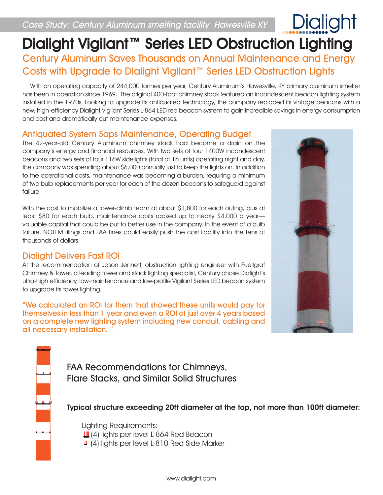# Dialight Vigilant™ Series LED Obstruction Lighting Century Aluminum Saves Thousands on Annual Maintenance and Energy Costs with Upgrade to Dialight Vigilant™ Series LED Obstruction Lights

With an operating capacity of 244,000 tonnes per year, Century Aluminum's Hawesville, KY primary aluminum smelter has been in operation since 1969. The original 400-foot chimney stack featured an incandescent beacon lighting system installed in the 1970s. Looking to upgrade its antiquated technology, the company replaced its vintage beacons with a new, high-efficiency Dialight Vigilant Series L-864 LED red beacon system to gain incredible savings in energy consumption and cost and dramatically cut maintenance expenses.

## Antiquated System Saps Maintenance, Operating Budget

The 42-year-old Century Aluminum chimney stack had become a drain on the company's energy and financial resources. With two sets of four 1400W incandescent beacons and two sets of four 116W sidelights (total of 16 units) operating night and day, the company was spending about \$6,000 annually just to keep the lights on. In addition to the operational costs, maintenance was becoming a burden, requiring a minimum of two bulb replacements per year for each of the dozen beacons to safeguard against failure.

With the cost to mobilize a tower-climb team at about \$1,800 for each outing, plus at least \$80 for each bulb, maintenance costs racked up to nearly \$4,000 a year valuable capital that could be put to better use in the company. In the event of a bulb failure, NOTEM filings and FAA fines could easily push the cost liability into the tens of thousands of dollars.

## Dialight Delivers Fast ROI

At the recommendation of Jason Jennett, obstruction lighting engineer with Fuellgraf Chimney & Tower, a leading tower and stack lighting specialist, Century chose Dialight's ultra-high efficiency, low-maintenance and low-profile Vigilant Series LED beacon system to upgrade its tower lighting.

"We calculated an ROI for them that showed these units would pay for themselves in less than 1 year and even a ROI of just over 4 years based on a complete new lighting system including new conduit, cabling and all necessary installation.



FAA Recommendations for Chimneys, Flare Stacks, and Similar Solid Structures

Typical structure exceeding 20ft diameter at the top, not more than 100ft diameter:

Lighting Requirements:

**L** (4) lights per level L-864 Red Beacon

4 (4) lights per level L-810 Red Side Marker